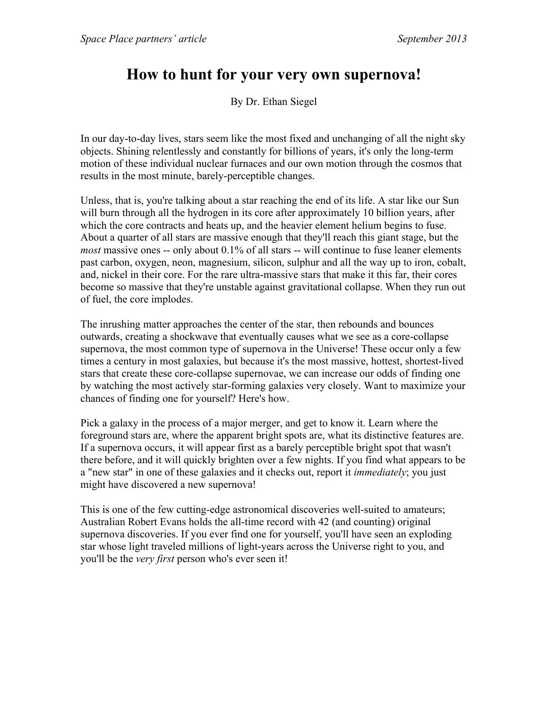## **How to hunt for your very own supernova!**

By Dr. Ethan Siegel

In our day-to-day lives, stars seem like the most fixed and unchanging of all the night sky objects. Shining relentlessly and constantly for billions of years, it's only the long-term motion of these individual nuclear furnaces and our own motion through the cosmos that results in the most minute, barely-perceptible changes.

Unless, that is, you're talking about a star reaching the end of its life. A star like our Sun will burn through all the hydrogen in its core after approximately 10 billion years, after which the core contracts and heats up, and the heavier element helium begins to fuse. About a quarter of all stars are massive enough that they'll reach this giant stage, but the *most* massive ones -- only about 0.1% of all stars -- will continue to fuse leaner elements past carbon, oxygen, neon, magnesium, silicon, sulphur and all the way up to iron, cobalt, and, nickel in their core. For the rare ultra-massive stars that make it this far, their cores become so massive that they're unstable against gravitational collapse. When they run out of fuel, the core implodes.

The inrushing matter approaches the center of the star, then rebounds and bounces outwards, creating a shockwave that eventually causes what we see as a core-collapse supernova, the most common type of supernova in the Universe! These occur only a few times a century in most galaxies, but because it's the most massive, hottest, shortest-lived stars that create these core-collapse supernovae, we can increase our odds of finding one by watching the most actively star-forming galaxies very closely. Want to maximize your chances of finding one for yourself? Here's how.

Pick a galaxy in the process of a major merger, and get to know it. Learn where the foreground stars are, where the apparent bright spots are, what its distinctive features are. If a supernova occurs, it will appear first as a barely perceptible bright spot that wasn't there before, and it will quickly brighten over a few nights. If you find what appears to be a "new star" in one of these galaxies and it checks out, report it *immediately*; you just might have discovered a new supernova!

This is one of the few cutting-edge astronomical discoveries well-suited to amateurs; Australian Robert Evans holds the all-time record with 42 (and counting) original supernova discoveries. If you ever find one for yourself, you'll have seen an exploding star whose light traveled millions of light-years across the Universe right to you, and you'll be the *very first* person who's ever seen it!